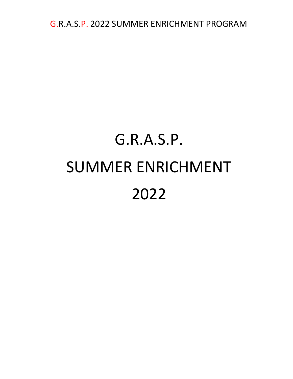# G.R.A.S.P. SUMMER ENRICHMENT 2022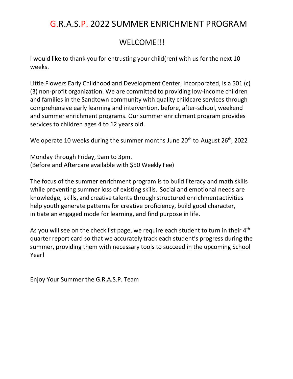### WELCOME!!!

I would like to thank you for entrusting your child(ren) with us for the next 10 weeks.

Little Flowers Early Childhood and Development Center, Incorporated, is a 501 (c) (3) non-profit organization. We are committed to providing low-income children and families in the Sandtown community with quality childcare services through comprehensive early learning and intervention, before, after-school, weekend and summer enrichment programs. Our summer enrichment program provides services to children ages 4 to 12 years old.

We operate 10 weeks during the summer months June  $20<sup>th</sup>$  to August  $26<sup>th</sup>$ , 2022

Monday through Friday, 9am to 3pm. (Before and Aftercare available with \$50 Weekly Fee)

knowledge, skills, and creative talents through structured enrichment activities The focus of the summer enrichment program is to build literacy and math skills while preventing summer loss of existing skills. Social and emotional needs are help youth generate patterns for creative proficiency, build good character, initiate an engaged mode for learning, and find purpose in life.

As you will see on the check list page, we require each student to turn in their 4<sup>th</sup> quarter report card so that we accurately track each student's progress during the summer, providing them with necessary tools to succeed in the upcoming School Year!

Enjoy Your Summer the G.R.A.S.P. Team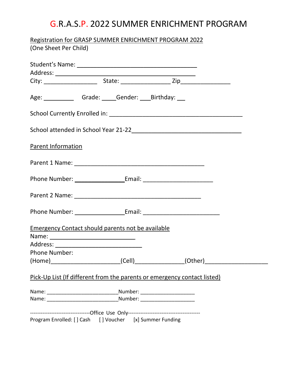| Registration for GRASP SUMMER ENRICHMENT PROGRAM 2022                                                          |  |  |                                                                                  |
|----------------------------------------------------------------------------------------------------------------|--|--|----------------------------------------------------------------------------------|
| (One Sheet Per Child)                                                                                          |  |  |                                                                                  |
|                                                                                                                |  |  |                                                                                  |
|                                                                                                                |  |  |                                                                                  |
|                                                                                                                |  |  |                                                                                  |
| Age: Canade: Comparent Compart Comparator Comparator Comparator Comparator Comparator Comparator Comparator Co |  |  |                                                                                  |
|                                                                                                                |  |  |                                                                                  |
|                                                                                                                |  |  |                                                                                  |
| <b>Parent Information</b>                                                                                      |  |  |                                                                                  |
|                                                                                                                |  |  |                                                                                  |
|                                                                                                                |  |  |                                                                                  |
|                                                                                                                |  |  |                                                                                  |
| Phone Number: __________________________Email: _________________________________                               |  |  |                                                                                  |
| <b>Emergency Contact should parents not be available</b>                                                       |  |  |                                                                                  |
|                                                                                                                |  |  |                                                                                  |
|                                                                                                                |  |  |                                                                                  |
| <b>Phone Number:</b>                                                                                           |  |  |                                                                                  |
|                                                                                                                |  |  | (Home)____________________________(Cell)________________(Other)_________________ |
| Pick-Up List (If different from the parents or emergency contact listed)                                       |  |  |                                                                                  |
|                                                                                                                |  |  |                                                                                  |
|                                                                                                                |  |  |                                                                                  |
|                                                                                                                |  |  |                                                                                  |
| Program Enrolled: [] Cash [] Voucher [x] Summer Funding                                                        |  |  |                                                                                  |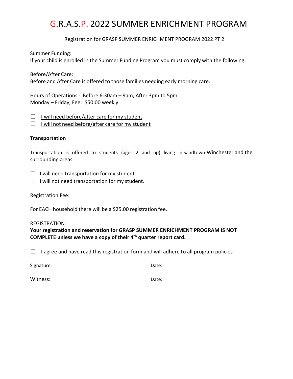#### Registration for GRASP SUMMER ENRICHMENT PROGRAM 2022 PT 2

Summer Funding:

If your child is enrolled in the Summer Funding Program you must comply with the following:

Before/After Care:

Before and After Care is offered to those families needing early morning care.

Hours of Operations - Before 6:30am – 9am, After 3pm to 5pm Monday – Friday, Fee: \$50.00 weekly.

 $\Box$  I will need before/after care for my student

 $\Box$  I will not need before/after care for my student

#### **Transportation**

Transportation is offered to students (ages 2 and up) living in Sandtown-Winchester and the surrounding areas.

 $\Box$  I will need transportation for my student

 $\Box$  I will not need transportation for my student.

Registration Fee:

For EACH household there will be a \$25.00 registration fee.

#### REGISTRATION

**Your registration and reservation for GRASP SUMMER ENRICHMENT PROGRAM IS NOT COMPLETE unless we have a copy of their 4th quarter report card.**

 $\Box$  I agree and have read this registration form and will adhere to all program policies

Signature: Date: Date: Date: Date: Date: Date: Date: Date: Date: Date: Date: Date: Date: Date: Date: Date: Date: Date: Date: Date: Date: Date: Date: Date: Date: Date: Date: Date: Date: Date: Date: Date: Date: Date: Date: D

Witness: Date: Date: Date: Date: Date: Date: Date: Date: Date: Date: Date: Date: Date: Date: Date: Date: Date: Date: Date: Date: Date: Date: Date: Date: Date: Date: Date: Date: Date: Date: Date: Date: Date: Date: Date: Dat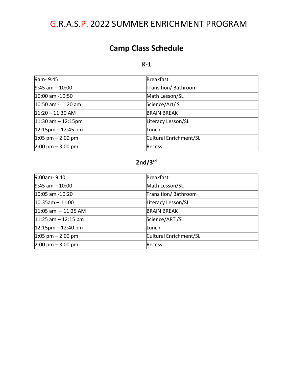### **Camp Class Schedule**

#### **K-1**

| 9am-9:45                            | <b>Breakfast</b>       |
|-------------------------------------|------------------------|
| $9:45$ am $-10:00$                  | Transition/Bathroom    |
| 10:00 am -10:50                     | Math Lesson/SL         |
| $10:50$ am $-11:20$ am              | Science/Art/SL         |
| $11:20 - 11:30$ AM                  | <b>BRAIN BREAK</b>     |
| $11:30$ am $-12:15$ pm              | Literacy Lesson/SL     |
| $12:15$ pm – 12:45 pm               | Lunch                  |
| $1:05$ pm $- 2:00$ pm               | Cultural Enrichment/SL |
| $2:00 \text{ pm} - 3:00 \text{ pm}$ | <b>Recess</b>          |

### **2nd/3rd**

| 9:00am-9:40                         | <b>Breakfast</b>       |
|-------------------------------------|------------------------|
| $9:45$ am $-10:00$                  | Math Lesson/SL         |
| 10:05 am -10:20                     | Transition/Bathroom    |
| $10:35am - 11:00$                   | Literacy Lesson/SL     |
| $11:05$ am $-11:25$ AM              | <b>BRAIN BREAK</b>     |
| $11:25$ am $-12:15$ pm              | Science/ART/SL         |
| $12:15$ pm – 12:40 pm               | Lunch                  |
| $1:05$ pm $-2:00$ pm                | Cultural Enrichment/SL |
| $2:00 \text{ pm} - 3:00 \text{ pm}$ | Recess                 |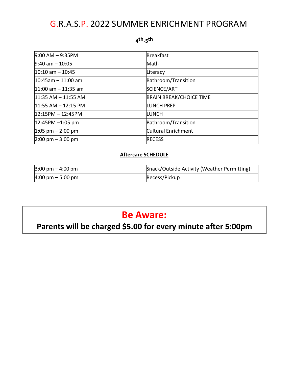#### **4th-5th**

| $9:00$ AM $-9:35$ PM                | <b>Breakfast</b>               |
|-------------------------------------|--------------------------------|
| $9:40$ am $-10:05$                  | Math                           |
| $10:10$ am $-10:45$                 | Literacy                       |
| $10:45$ am - 11:00 am               | Bathroom/Transition            |
| $11:00$ am $-11:35$ am              | SCIENCE/ART                    |
| $11:35$ AM $- 11:55$ AM             | <b>BRAIN BREAK/CHOICE TIME</b> |
| $11:55$ AM $- 12:15$ PM             | <b>LUNCH PREP</b>              |
| $12:15PM - 12:45PM$                 | <b>LUNCH</b>                   |
| $12:45PM - 1:05 pm$                 | Bathroom/Transition            |
| $1:05$ pm $-2:00$ pm                | Cultural Enrichment            |
| $2:00 \text{ pm} - 3:00 \text{ pm}$ | <b>RECESS</b>                  |

#### **Aftercare SCHEDULE**

| $3:00 \text{ pm} - 4:00 \text{ pm}$ | Snack/Outside Activity (Weather Permitting) |
|-------------------------------------|---------------------------------------------|
| $4:00 \text{ pm} - 5:00 \text{ pm}$ | Recess/Pickup                               |

### **Be Aware:**

# **Parents will be charged \$5.00 for every minute after 5:00pm**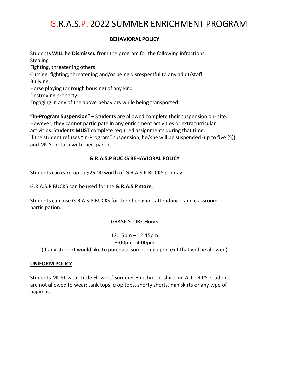#### **BEHAVIORAL POLICY**

Students **WILL** be **Dismissed** from the program for the following infractions: **Stealing** Fighting, threatening others Cursing, fighting, threatening and/or being disrespectful to any adult/staff Bullying Horse playing (or rough housing) of any kind Destroying property Engaging in any of the above behaviors while being transported

**"In-Program Suspension"** – Students are allowed complete their suspension on- site. However, they cannot participate in any enrichment activities or extracurricular activities. Students **MUST** complete required assignments during that time. If the student refuses "In-Program" suspension, he/she will be suspended (up to five (5)) and MUST return with their parent.

#### **G.R.A.S.P BUCKS BEHAVIORAL POLICY**

Students can earn up to \$25.00 worth of G.R.A.S.P BUCKS per day.

G.R.A.S.P BUCKS can be used for the **G.R.A.S.P store**.

Students can lose G.R.A.S.P BUCKS for their behavior, attendance, and classroom participation.

#### GRASP STORE Hours

12:15pm – 12:45pm 3:00pm –4:00pm (If any student would like to purchase something upon exit that will be allowed)

#### **UNIFORM POLICY**

Students MUST wear Little Flowers' Summer Enrichment shirts on ALL TRIPS. students are not allowed to wear: tank tops, crop tops, shorty shorts, miniskirts or any type of pajamas.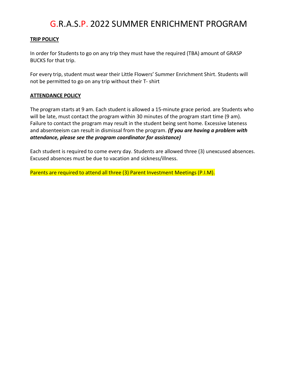#### **TRIP POLICY**

In order for Students to go on any trip they must have the required (TBA) amount of GRASP BUCKS for that trip.

For every trip, student must wear their Little Flowers' Summer Enrichment Shirt. Students will not be permitted to go on any trip without their T- shirt

#### **ATTENDANCE POLICY**

The program starts at 9 am. Each student is allowed a 15-minute grace period. are Students who will be late, must contact the program within 30 minutes of the program start time (9 am). Failure to contact the program may result in the student being sent home. Excessive lateness and absenteeism can result in dismissal from the program. *(If you are having a problem with attendance, please see the program coordinator for assistance)*

Each student is required to come every day. Students are allowed three (3) unexcused absences. Excused absences must be due to vacation and sickness/illness.

Parents are required to attend all three (3) Parent Investment Meetings (P.I.M).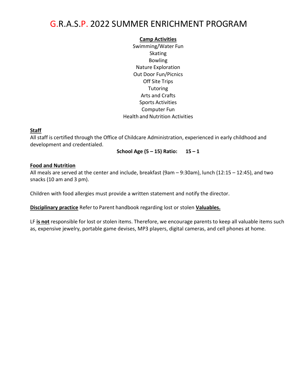#### **Camp Activities**

Swimming/Water Fun Skating Bowling Nature Exploration Out Door Fun/Picnics Off Site Trips **Tutoring** Arts and Crafts Sports Activities Computer Fun Health and Nutrition Activities

#### **Staff**

All staff is certified through the Office of Childcare Administration, experienced in early childhood and development and credentialed.

**School Age (5 – 15) Ratio: 15 – 1**

#### **Food and Nutrition**

All meals are served at the center and include, breakfast (9am – 9:30am), lunch (12:15 – 12:45), and two snacks (10 am and 3 pm).

Children with food allergies must provide a written statement and notify the director.

**Disciplinary practice** Referto Parent handbook regarding lost or stolen **Valuables.**

LF **is not** responsible for lost or stolen items. Therefore, we encourage parents to keep all valuable items such as, expensive jewelry, portable game devises, MP3 players, digital cameras, and cell phones at home.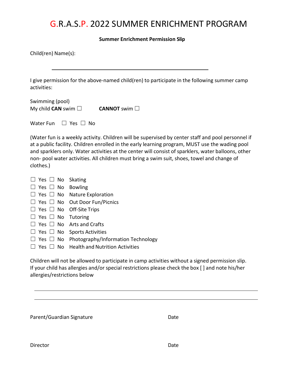**Summer Enrichment Permission Slip**

| Child(ren) Name(s):                                                                                                                                                                                                                                                                                                                                                                                                                                                                      |  |  |  |  |
|------------------------------------------------------------------------------------------------------------------------------------------------------------------------------------------------------------------------------------------------------------------------------------------------------------------------------------------------------------------------------------------------------------------------------------------------------------------------------------------|--|--|--|--|
| I give permission for the above-named child(ren) to participate in the following summer camp<br>activities:                                                                                                                                                                                                                                                                                                                                                                              |  |  |  |  |
| Swimming (pool)<br>My child <b>CAN</b> swim $\Box$<br><b>CANNOT</b> swim □                                                                                                                                                                                                                                                                                                                                                                                                               |  |  |  |  |
| Water Fun<br>$\Box$ Yes $\Box$ No                                                                                                                                                                                                                                                                                                                                                                                                                                                        |  |  |  |  |
| (Water fun is a weekly activity. Children will be supervised by center staff and pool personnel if<br>at a public facility. Children enrolled in the early learning program, MUST use the wading pool<br>and sparklers only. Water activities at the center will consist of sparklers, water balloons, other<br>non- pool water activities. All children must bring a swim suit, shoes, towel and change of<br>clothes.)                                                                 |  |  |  |  |
| $\Box$ Yes $\Box$ No Skating<br>Bowling<br>$\Box$ Yes $\Box$ No<br><b>Nature Exploration</b><br>$\Box$ Yes $\Box$ No<br>Out Door Fun/Picnics<br>$\Box$ Yes $\Box$ No<br>Off-Site Trips<br>$\Box$ Yes $\Box$ No<br>$\Box$ Yes $\Box$ No<br>Tutoring<br><b>Arts and Crafts</b><br>$\Box$ Yes $\Box$ No<br>$\Box$ Yes $\Box$ No<br><b>Sports Activities</b><br>Photography/Information Technology<br>$\Box$ Yes $\Box$ No<br>$\Box$ Yes $\Box$ No<br><b>Health and Nutrition Activities</b> |  |  |  |  |
| Children will not be allowed to participate in camp activities without a signed permission slip.<br>If your child has allergies and/or special restrictions please check the box [] and note his/her<br>allergies/restrictions below                                                                                                                                                                                                                                                     |  |  |  |  |

| Parent/Guardian Signature | Date |
|---------------------------|------|
|                           |      |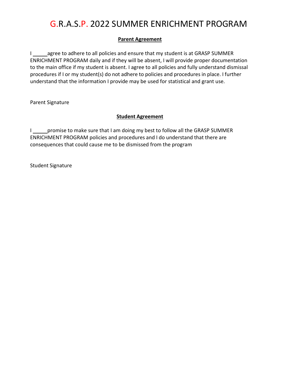#### **Parent Agreement**

I \_\_\_\_\_\_ agree to adhere to all policies and ensure that my student is at GRASP SUMMER ENRICHMENT PROGRAM daily and if they will be absent, I will provide proper documentation to the main office if my student is absent. I agree to all policies and fully understand dismissal procedures if I or my student(s) do not adhere to policies and procedures in place. I further understand that the information I provide may be used for statistical and grant use.

Parent Signature

#### **Student Agreement**

I suppromise to make sure that I am doing my best to follow all the GRASP SUMMER ENRICHMENT PROGRAM policies and procedures and I do understand that there are consequences that could cause me to be dismissed from the program

Student Signature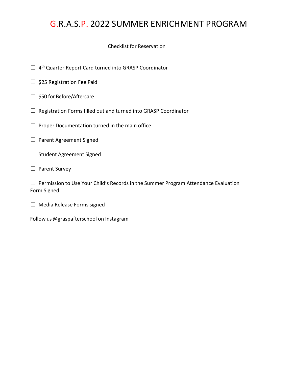#### Checklist for Reservation

- □ 4<sup>th</sup> Quarter Report Card turned into GRASP Coordinator
- □ \$25 Registration Fee Paid
- □ \$50 for Before/Aftercare
- ☐ Registration Forms filled out and turned into GRASP Coordinator
- $\Box$  Proper Documentation turned in the main office
- □ Parent Agreement Signed
- ☐ Student Agreement Signed
- □ Parent Survey

☐ Permission to Use Your Child's Records in the Summer Program Attendance Evaluation Form Signed

 $\Box$  Media Release Forms signed

Follow us @graspafterschool on Instagram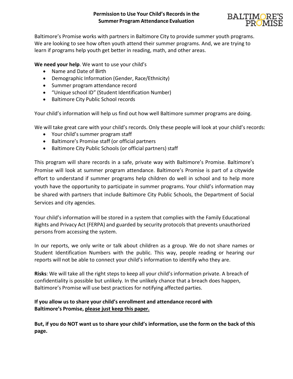

Baltimore's Promise works with partners in Baltimore City to provide summer youth programs. We are looking to see how often youth attend their summer programs. And, we are trying to learn if programs help youth get better in reading, math, and other areas.

**We need your help**. We want to use your child's

- Name and Date of Birth
- Demographic Information (Gender, Race/Ethnicity)
- Summer program attendance record
- "Unique school ID" (Student Identification Number)
- Baltimore City Public School records

Your child's information will help us find out how well Baltimore summer programs are doing.

We will take great care with your child's records. Only these people will look at your child's records:

- Your child's summer program staff
- Baltimore's Promise staff (or official partners
- Baltimore City Public Schools (or official partners) staff

This program will share records in a safe, private way with Baltimore's Promise. Baltimore's Promise will look at summer program attendance. Baltimore's Promise is part of a citywide effort to understand if summer programs help children do well in school and to help more youth have the opportunity to participate in summer programs. Your child's information may be shared with partners that include Baltimore City Public Schools, the Department of Social Services and city agencies.

Your child's information will be stored in a system that complies with the Family Educational Rights and Privacy Act (FERPA) and guarded by security protocols that prevents unauthorized persons from accessing the system.

In our reports, we only write or talk about children as a group. We do not share names or Student Identification Numbers with the public. This way, people reading or hearing our reports will not be able to connect your child's information to identify who they are.

**Risks**: We will take all the right steps to keep all your child's information private. A breach of confidentiality is possible but unlikely. In the unlikely chance that a breach does happen, Baltimore's Promise will use best practices for notifying affected parties.

#### **If you allow us to share your child's enrollment and attendance record with Baltimore's Promise, please just keep this paper.**

**But, if you do NOT want us to share your child's information, use the form on the back of this page.**